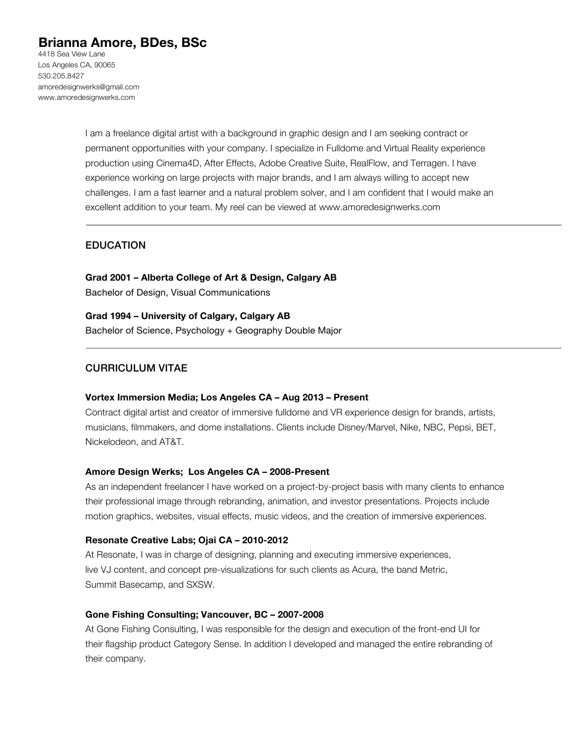# **Brianna Amore, BDes, BSc**

4418 Sea View Lane Los Angeles CA, 90065 530.205.8427 amoredesignwerks@gmail.com www.amoredesignwerks.com

> I am a freelance digital artist with a background in graphic design and I am seeking contract or permanent opportunities with your company. I specialize in Fulldome and Virtual Reality experience production using Cinema4D, After Effects, Adobe Creative Suite, RealFlow, and Terragen. I have experience working on large projects with major brands, and I am always willing to accept new challenges. I am a fast learner and a natural problem solver, and I am confident that I would make an excellent addition to your team. My reel can be viewed at www.amoredesignwerks.com

# EDUCATION

**Grad 2001 – Alberta College of Art & Design, Calgary AB** Bachelor of Design, Visual Communications

**Grad 1994 – University of Calgary, Calgary AB** Bachelor of Science, Psychology + Geography Double Major

# CURRICULUM VITAE

# **Vortex Immersion Media; Los Angeles CA – Aug 2013 – Present**

Contract digital artist and creator of immersive fulldome and VR experience design for brands, artists, musicians, filmmakers, and dome installations. Clients include Disney/Marvel, Nike, NBC, Pepsi, BET, Nickelodeon, and AT&T.

## **Amore Design Werks; Los Angeles CA – 2008-Present**

As an independent freelancer I have worked on a project-by-project basis with many clients to enhance their professional image through rebranding, animation, and investor presentations. Projects include motion graphics, websites, visual effects, music videos, and the creation of immersive experiences.

#### **Resonate Creative Labs; Ojai CA – 2010-2012**

At Resonate, I was in charge of designing, planning and executing immersive experiences, live VJ content, and concept pre-visualizations for such clients as Acura, the band Metric, Summit Basecamp, and SXSW.

## **Gone Fishing Consulting; Vancouver, BC – 2007-2008**

At Gone Fishing Consulting, I was responsible for the design and execution of the front-end UI for their flagship product Category Sense. In addition I developed and managed the entire rebranding of their company.